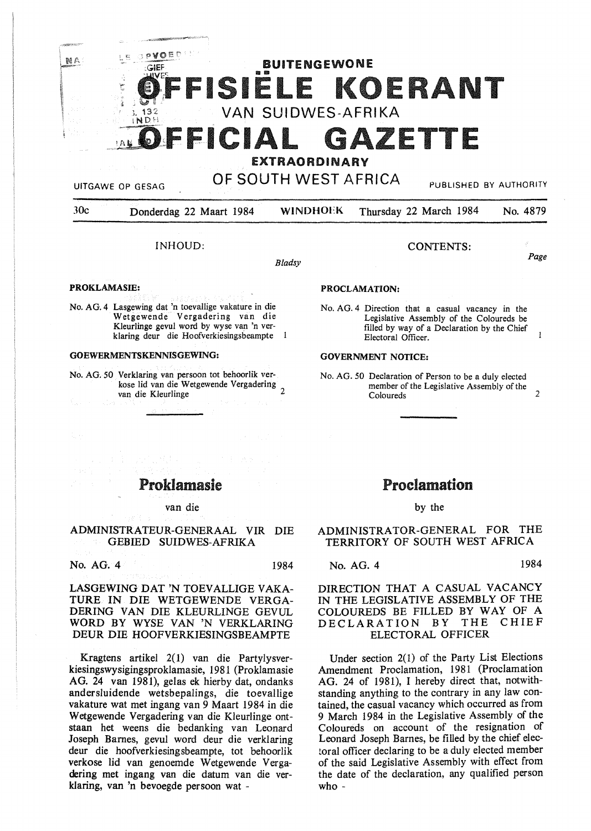## PVOED BUITENGEWONE GIEF SIELE KOERANT VAN SUIDWES-AFRIKA INDH GAZETTE **EEICIAL**

*c:* 

NA

# EXTRAORDINARY UITGAWE OP GESAG **OF SOUTH WEST AFRICA** PUBLISHED BY AUTHORITY

*Bladsy* 

30c Donderdag 22 Maart 1984 **WINDHOEK** Thursday 22 March 1984 No. 4879

### INHOUD:

CONTENTS:

Page

## **PROKLAMASIB:**

No. AG. 4 Lasgewing dat 'n toevallige vakature in die Wetgewende Vergadering van die Kleurlinge gevul word by wyse van 'n verklaring deur die Hoofverkiesingsbeampte 1

### **GOEWERMENTSKENNISGEWING:**

No. AG. *50* Verklaring van persoon tot behoorlik verkose lid van die W etgewende Vergadering van die Kleurlinge

#### **PROCLAMATION:**

No. AG. 4 Direction that a casual vacancy in the Legislative Assembly of the Coloureds be filled by way of a Declaration by the Chief  $\mathbf{I}$ Electoral Officer.

#### **GOVERNMENT NOTICE:**

No. AG. *50* Declaration of Person to be a duly elected member of the Legislative Assembly of the Coloureds 2

# Proklamasie

#### van die

## ADMINISTRATEUR-GENERAAL VIR DIE GEBIED SUIDWES-AFRIKA

No. AG. 4 1984

LASGEWING DAT 'N TOEVALLIGE VAKA-TURE IN DIE WETGEWENDE VERGA-DERING VAN DIE KLEURLINGE GEVUL WORD BY WYSE VAN 'N VERKLARING DEUR DIE HOOFVERKIESINGSBEAMPTE

Kragtens artikel 2(1) van die Partylysverkiesingswysigingsproklamasie, 1981 (Proklamasie AG. 24 van 1981), gelas ek hierby dat, ondanks andersluidende wetsbepalings, die toevallige vakature wat met ingang van 9 Maart 1984 in die Wetgewende Vergadering van die Kleurlinge ontstaan bet weens die bedanking van Leonard Joseph Barnes, gevul word deur die verklaring deur die hoofverkiesingsbeampte, tot behoorlik verkose lid van genoemde Wetgewende Vergadering met ingang van die datum van die verklaring, van 'n bevoegde persoon wat -

# Proclamation

## by the

ADMINISTRATOR-GENERAL FOR THE TERRITORY OF SOUTH WEST AFRICA

## No. AG. 4 1984

## DIRECTION THAT A CASUAL VACANCY IN THE LEGISLATIVE ASSEMBLY OF THE COLOUREDS BE FILLED BY WAY OF A<br>DECLARATION BY THE CHIEF DECLARATION BY ELECTORAL OFFICER

Under section 2(1) of the Party List Elections Amendment Proclamation, 1981 (Proclamation AG. 24 of 1981), I hereby direct that, notwithstanding anything to the contrary in any law contained, the casual vacancy which occurred as from 9 March 1984 in the Legislative Assembly of the Coloureds on account of the resignation of Leonard Joseph Barnes, be filled by the chief electoral officer declaring to be a duly elected member of the said Legislative Assembly with effect from the date of the declaration, any qualified person who -